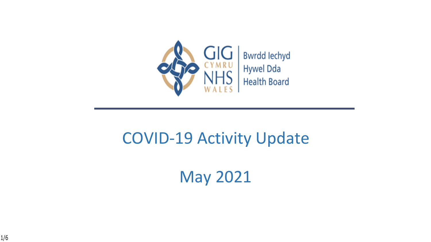

## COVID-19 Activity Update

May 2021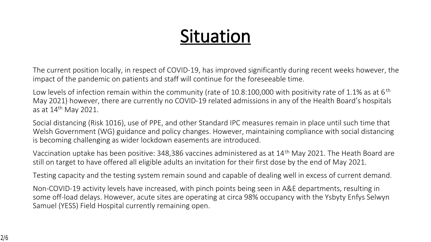# **Situation**

The current position locally, in respect of COVID-19, has improved significantly during recent weeks however, the impact of the pandemic on patients and staff will continue for the foreseeable time.

Low levels of infection remain within the community (rate of 10.8:100,000 with positivity rate of 1.1% as at 6<sup>th</sup> May 2021) however, there are currently no COVID-19 related admissions in any of the Health Board's hospitals as at 14th May 2021.

Social distancing (Risk 1016), use of PPE, and other Standard IPC measures remain in place until such time that Welsh Government (WG) guidance and policy changes. However, maintaining compliance with social distancing is becoming challenging as wider lockdown easements are introduced.

Vaccination uptake has been positive: 348,386 vaccines administered as at 14th May 2021. The Heath Board are still on target to have offered all eligible adults an invitation for their first dose by the end of May 2021.

Testing capacity and the testing system remain sound and capable of dealing well in excess of current demand.

Non-COVID-19 activity levels have increased, with pinch points being seen in A&E departments, resulting in some off-load delays. However, acute sites are operating at circa 98% occupancy with the Ysbyty Enfys Selwyn Samuel (YESS) Field Hospital currently remaining open.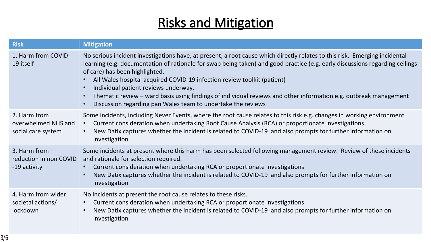### **Risks and Mitigation**

| <b>Risk</b>                                               | <b>Mitigation</b>                                                                                                                                                                                                                                                                                                                                                                                                                                                                                                                                                                                   |
|-----------------------------------------------------------|-----------------------------------------------------------------------------------------------------------------------------------------------------------------------------------------------------------------------------------------------------------------------------------------------------------------------------------------------------------------------------------------------------------------------------------------------------------------------------------------------------------------------------------------------------------------------------------------------------|
| 1. Harm from COVID-<br>19 itself                          | No serious incident investigations have, at present, a root cause which directly relates to this risk. Emerging incidental<br>learning (e.g. documentation of rationale for swab being taken) and good practice (e.g. early discussions regarding ceilings<br>of care) has been highlighted.<br>All Wales hospital acquired COVID-19 infection review toolkit (patient)<br>Individual patient reviews underway.<br>Thematic review - ward basis using findings of individual reviews and other information e.g. outbreak management<br>Discussion regarding pan Wales team to undertake the reviews |
| 2. Harm from<br>overwhelmed NHS and<br>social care system | Some incidents, including Never Events, where the root cause relates to this risk e.g. changes in working environment<br>Current consideration when undertaking Root Cause Analysis (RCA) or proportionate investigations<br>New Datix captures whether the incident is related to COVID-19 and also prompts for further information on<br>investigation                                                                                                                                                                                                                                            |
| 3. Harm from<br>reduction in non COVID<br>-19 activity    | Some incidents at present where this harm has been selected following management review. Review of these incidents<br>and rationale for selection required.<br>Current consideration when undertaking RCA or proportionate investigations<br>New Datix captures whether the incident is related to COVID-19 and also prompts for further information on<br>investigation                                                                                                                                                                                                                            |
| 4. Harm from wider<br>societal actions/<br>lockdown       | No incidents at present the root cause relates to these risks.<br>Current consideration when undertaking RCA or proportionate investigations<br>New Datix captures whether the incident is related to COVID-19 and also prompts for further information on<br>investigation                                                                                                                                                                                                                                                                                                                         |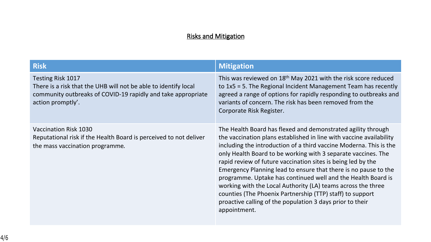#### **Risks and Mitigation**

| <b>Risk</b>                                                                                                                                                                      | <b>Mitigation</b>                                                                                                                                                                                                                                                                                                                                                                                                                                                                                                                                                                                                                                                                       |
|----------------------------------------------------------------------------------------------------------------------------------------------------------------------------------|-----------------------------------------------------------------------------------------------------------------------------------------------------------------------------------------------------------------------------------------------------------------------------------------------------------------------------------------------------------------------------------------------------------------------------------------------------------------------------------------------------------------------------------------------------------------------------------------------------------------------------------------------------------------------------------------|
| <b>Testing Risk 1017</b><br>There is a risk that the UHB will not be able to identify local<br>community outbreaks of COVID-19 rapidly and take appropriate<br>action promptly'. | This was reviewed on 18 <sup>th</sup> May 2021 with the risk score reduced<br>to $1x5 = 5$ . The Regional Incident Management Team has recently<br>agreed a range of options for rapidly responding to outbreaks and<br>variants of concern. The risk has been removed from the<br>Corporate Risk Register.                                                                                                                                                                                                                                                                                                                                                                             |
| <b>Vaccination Risk 1030</b><br>Reputational risk if the Health Board is perceived to not deliver<br>the mass vaccination programme.                                             | The Health Board has flexed and demonstrated agility through<br>the vaccination plans established in line with vaccine availability<br>including the introduction of a third vaccine Moderna. This is the<br>only Health Board to be working with 3 separate vaccines. The<br>rapid review of future vaccination sites is being led by the<br>Emergency Planning lead to ensure that there is no pause to the<br>programme. Uptake has continued well and the Health Board is<br>working with the Local Authority (LA) teams across the three<br>counties (The Phoenix Partnership (TTP) staff) to support<br>proactive calling of the population 3 days prior to their<br>appointment. |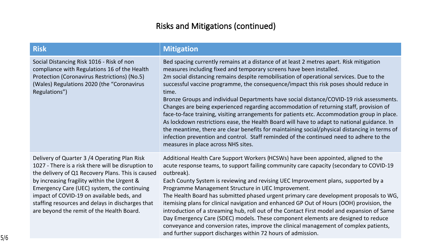#### **Risks and Mitigations (continued)**

| <b>Risk</b>                                                                                                                                                                                              | <b>Mitigation</b>                                                                                                                                                                                                                                                                                                                                                                                                                                                                                                                                                                                                                                                                                                                                                                                                                                                                                                                                                                   |
|----------------------------------------------------------------------------------------------------------------------------------------------------------------------------------------------------------|-------------------------------------------------------------------------------------------------------------------------------------------------------------------------------------------------------------------------------------------------------------------------------------------------------------------------------------------------------------------------------------------------------------------------------------------------------------------------------------------------------------------------------------------------------------------------------------------------------------------------------------------------------------------------------------------------------------------------------------------------------------------------------------------------------------------------------------------------------------------------------------------------------------------------------------------------------------------------------------|
| Social Distancing Risk 1016 - Risk of non<br>compliance with Regulations 16 of the Health<br>Protection (Coronavirus Restrictions) (No.5)<br>(Wales) Regulations 2020 (the "Coronavirus<br>Regulations") | Bed spacing currently remains at a distance of at least 2 metres apart. Risk mitigation<br>measures including fixed and temporary screens have been installed.<br>2m social distancing remains despite remobilisation of operational services. Due to the<br>successful vaccine programme, the consequence/impact this risk poses should reduce in<br>time.<br>Bronze Groups and individual Departments have social distance/COVID-19 risk assessments.<br>Changes are being experienced regarding accommodation of returning staff, provision of<br>face-to-face training, visiting arrangements for patients etc. Accommodation group in place.<br>As lockdown restrictions ease, the Health Board will have to adapt to national guidance. In<br>the meantime, there are clear benefits for maintaining social/physical distancing in terms of<br>infection prevention and control. Staff reminded of the continued need to adhere to the<br>measures in place across NHS sites. |
| Delivery of Quarter 2 /4 Quareting Plan Biel                                                                                                                                                             | Additional Uselth Care Cunnant Warlens (UCCM/s) house hoop appointed slipped to the                                                                                                                                                                                                                                                                                                                                                                                                                                                                                                                                                                                                                                                                                                                                                                                                                                                                                                 |

Delivery of Quarter 3 /4 Operating Plan Risk 1027 - There is a risk there will be disruption to the delivery of Q1 Recovery Plans. This is caused by increasing fragility within the Urgent & Emergency Care (UEC) system, the continuing impact of COVID-19 on available beds, and staffing resources and delays in discharges that are beyond the remit of the Health Board.

Additional Health Care Support Workers (HCSWs) have been appointed, aligned to the acute response teams, to support failing community care capacity (secondary to COVID-19 outbreak).

Each County System is reviewing and revising UEC Improvement plans, supported by a Programme Management Structure in UEC Improvement.

The Health Board has submitted phased urgent primary care development proposals to WG, itemising plans for clinical navigation and enhanced GP Out of Hours (OOH) provision, the introduction of a streaming hub, roll out of the Contact First model and expansion of Same Day Emergency Care (SDEC) models. These component elements are designed to reduce conveyance and conversion rates, improve the clinical management of complex patients, and further support discharges within 72 hours of admission.